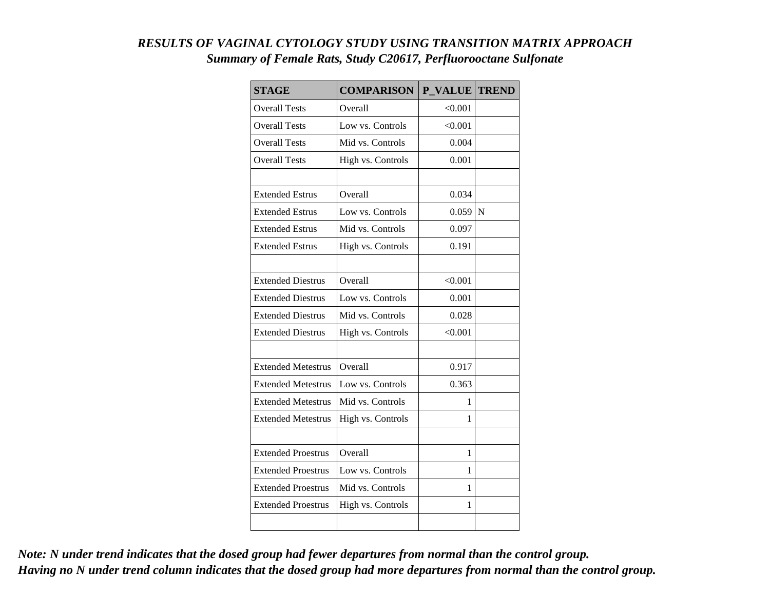## *RESULTS OF VAGINAL CYTOLOGY STUDY USING TRANSITION MATRIX APPROACH Summary of Female Rats, Study C20617, Perfluorooctane Sulfonate*

| <b>STAGE</b>              | <b>COMPARISON</b> | P VALUE TREND |   |
|---------------------------|-------------------|---------------|---|
| <b>Overall Tests</b>      | Overall           | < 0.001       |   |
| <b>Overall Tests</b>      | Low vs. Controls  | < 0.001       |   |
| <b>Overall Tests</b>      | Mid vs. Controls  | 0.004         |   |
| <b>Overall Tests</b>      | High vs. Controls | 0.001         |   |
|                           |                   |               |   |
| <b>Extended Estrus</b>    | Overall           | 0.034         |   |
| <b>Extended Estrus</b>    | Low vs. Controls  | 0.059         | N |
| <b>Extended Estrus</b>    | Mid vs. Controls  | 0.097         |   |
| <b>Extended Estrus</b>    | High vs. Controls | 0.191         |   |
|                           |                   |               |   |
| <b>Extended Diestrus</b>  | Overall           | < 0.001       |   |
| <b>Extended Diestrus</b>  | Low vs. Controls  | 0.001         |   |
| <b>Extended Diestrus</b>  | Mid vs. Controls  | 0.028         |   |
| <b>Extended Diestrus</b>  | High vs. Controls | < 0.001       |   |
|                           |                   |               |   |
| <b>Extended Metestrus</b> | Overall           | 0.917         |   |
| <b>Extended Metestrus</b> | Low vs. Controls  | 0.363         |   |
| <b>Extended Metestrus</b> | Mid vs. Controls  | 1             |   |
| <b>Extended Metestrus</b> | High vs. Controls | 1             |   |
|                           |                   |               |   |
| <b>Extended Proestrus</b> | Overall           | 1             |   |
| <b>Extended Proestrus</b> | Low vs. Controls  | 1             |   |
| <b>Extended Proestrus</b> | Mid vs. Controls  | 1             |   |
| <b>Extended Proestrus</b> | High vs. Controls | 1             |   |
|                           |                   |               |   |

*Note: N under trend indicates that the dosed group had fewer departures from normal than the control group. Having no N under trend column indicates that the dosed group had more departures from normal than the control group.*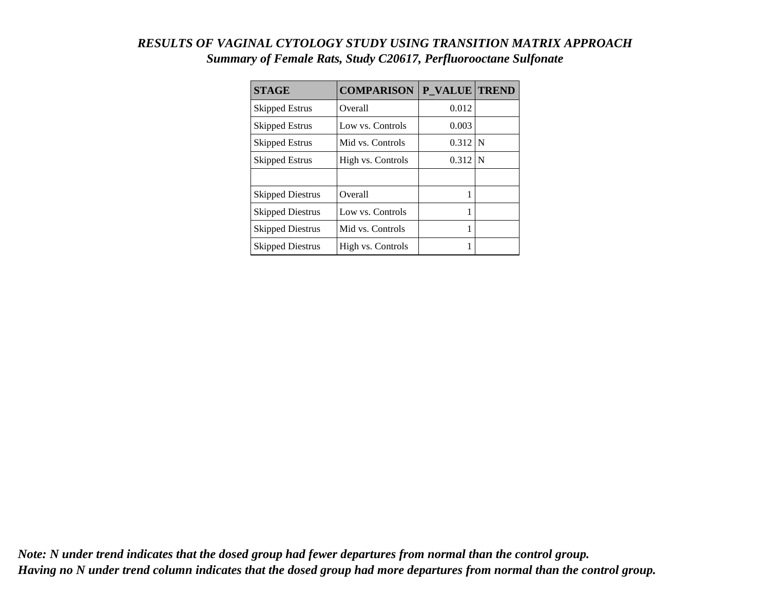## *RESULTS OF VAGINAL CYTOLOGY STUDY USING TRANSITION MATRIX APPROACH Summary of Female Rats, Study C20617, Perfluorooctane Sulfonate*

| <b>STAGE</b>            | <b>COMPARISON</b> | P VALUE TREND |  |
|-------------------------|-------------------|---------------|--|
| <b>Skipped Estrus</b>   | Overall           | 0.012         |  |
| Skipped Estrus          | Low vs. Controls  | 0.003         |  |
| <b>Skipped Estrus</b>   | Mid vs. Controls  | $0.312$ N     |  |
| <b>Skipped Estrus</b>   | High vs. Controls | $0.312$ N     |  |
|                         |                   |               |  |
| <b>Skipped Diestrus</b> | Overall           |               |  |
| <b>Skipped Diestrus</b> | Low vs. Controls  |               |  |
| <b>Skipped Diestrus</b> | Mid vs. Controls  |               |  |
| <b>Skipped Diestrus</b> | High vs. Controls |               |  |

*Note: N under trend indicates that the dosed group had fewer departures from normal than the control group. Having no N under trend column indicates that the dosed group had more departures from normal than the control group.*